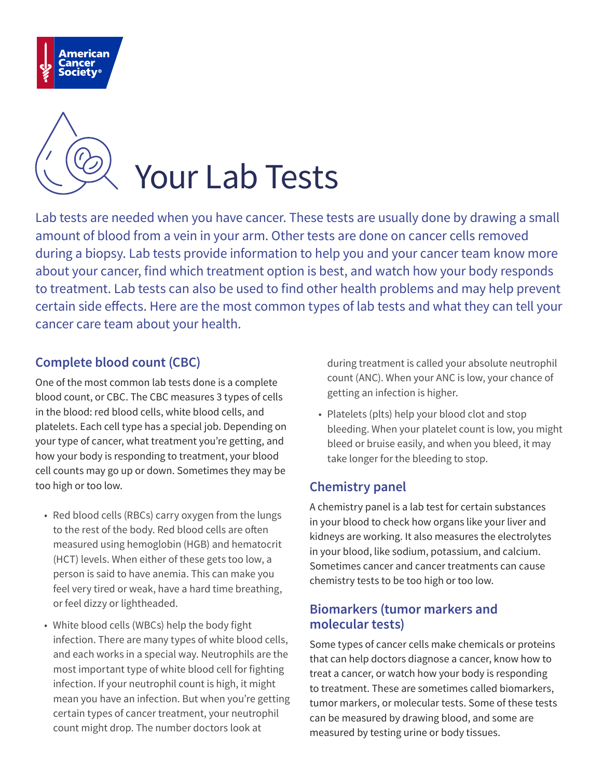



Lab tests are needed when you have cancer. These tests are usually done by drawing a small amount of blood from a vein in your arm. Other tests are done on cancer cells removed during a biopsy. Lab tests provide information to help you and your cancer team know more about your cancer, find which treatment option is best, and watch how your body responds to treatment. Lab tests can also be used to find other health problems and may help prevent certain side effects. Here are the most common types of lab tests and what they can tell your cancer care team about your health.

## **Complete blood count (CBC)**

One of the most common lab tests done is a complete blood count, or CBC. The CBC measures 3 types of cells in the blood: red blood cells, white blood cells, and platelets. Each cell type has a special job. Depending on your type of cancer, what treatment you're getting, and how your body is responding to treatment, your blood cell counts may go up or down. Sometimes they may be too high or too low.

- Red blood cells (RBCs) carry oxygen from the lungs to the rest of the body. Red blood cells are often measured using hemoglobin (HGB) and hematocrit (HCT) levels. When either of these gets too low, a person is said to have anemia. This can make you feel very tired or weak, have a hard time breathing, or feel dizzy or lightheaded.
- White blood cells (WBCs) help the body fight infection. There are many types of white blood cells, and each works in a special way. Neutrophils are the most important type of white blood cell for fighting infection. If your neutrophil count is high, it might mean you have an infection. But when you're getting certain types of cancer treatment, your neutrophil count might drop. The number doctors look at

during treatment is called your absolute neutrophil count (ANC). When your ANC is low, your chance of getting an infection is higher.

• Platelets (plts) help your blood clot and stop bleeding. When your platelet count is low, you might bleed or bruise easily, and when you bleed, it may take longer for the bleeding to stop.

## **Chemistry panel**

A chemistry panel is a lab test for certain substances in your blood to check how organs like your liver and kidneys are working. It also measures the electrolytes in your blood, like sodium, potassium, and calcium. Sometimes cancer and cancer treatments can cause chemistry tests to be too high or too low.

## **Biomarkers (tumor markers and molecular tests)**

Some types of cancer cells make chemicals or proteins that can help doctors diagnose a cancer, know how to treat a cancer, or watch how your body is responding to treatment. These are sometimes called biomarkers, tumor markers, or molecular tests. Some of these tests can be measured by drawing blood, and some are measured by testing urine or body tissues.